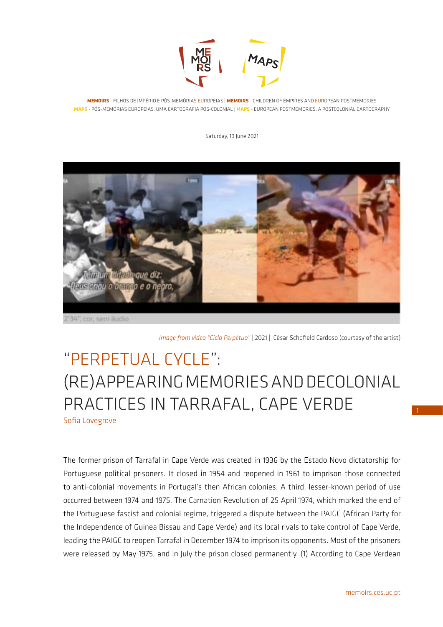

**MEMOIRS** - FILHOS DE IMPÉRIO E PÓS-MEMÓRIAS EUROPEIAS | **MEMOIRS** - CHILDREN OF EMPIRES AND EUROPEAN POSTMEMORIES **MAPS** - PÓS-MEMÓRIAS EUROPEIAS: UMA CARTOGRAFIA PÓS-COLONIAL | **MAPS** - EUROPEAN POSTMEMORIES: A POSTCOLONIAL CARTOGRAPHY

Saturday, 19 June 2021



34", cor, sem áudio

*Image from video "Ciclo Perpétuo"* | 2021 | César Schofield Cardoso (courtesy of the artist)

# "PERPETUAL CYCLE": (RE)APPEARING MEMORIES AND DECOLONIAL PRACTICES IN TARRAFAL, CAPE VERDE Sofia Lovegrove

The former prison of Tarrafal in Cape Verde was created in 1936 by the Estado Novo dictatorship for Portuguese political prisoners. It closed in 1954 and reopened in 1961 to imprison those connected to anti-colonial movements in Portugal's then African colonies. A third, lesser-known period of use occurred between 1974 and 1975. The Carnation Revolution of 25 April 1974, which marked the end of the Portuguese fascist and colonial regime, triggered a dispute between the PAIGC (African Party for the Independence of Guinea Bissau and Cape Verde) and its local rivals to take control of Cape Verde, leading the PAIGC to reopen Tarrafal in December 1974 to imprison its opponents. Most of the prisoners were released by May 1975, and in July the prison closed permanently. (1) According to Cape Verdean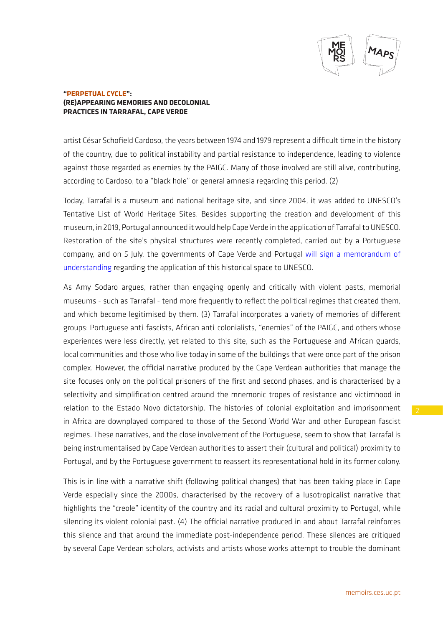

artist César Schofield Cardoso, the years between 1974 and 1979 represent a difficult time in the history of the country, due to political instability and partial resistance to independence, leading to violence against those regarded as enemies by the PAIGC. Many of those involved are still alive, contributing, according to Cardoso, to a "black hole" or general amnesia regarding this period. (2)

Today, Tarrafal is a museum and national heritage site, and since 2004, it was added to UNESCO's Tentative List of World Heritage Sites. Besides supporting the creation and development of this museum, in 2019, Portugal announced it would help Cape Verde in the application of Tarrafal to UNESCO. Restoration of the site's physical structures were recently completed, carried out by a Portuguese company, and on 5 July, the governments of Cape Verde and Portugal [will sign a memorandum of](https://www.sapo.pt/noticias/atualidade/cabo-verde-e-portugal-avancam-com-candidatura_60c226a6b0660d7271e62f98)  [understanding](https://www.sapo.pt/noticias/atualidade/cabo-verde-e-portugal-avancam-com-candidatura_60c226a6b0660d7271e62f98) regarding the application of this historical space to UNESCO.

As Amy Sodaro argues, rather than engaging openly and critically with violent pasts, memorial museums - such as Tarrafal - tend more frequently to reflect the political regimes that created them, and which become legitimised by them. (3) Tarrafal incorporates a variety of memories of different groups: Portuguese anti-fascists, African anti-colonialists, "enemies" of the PAIGC, and others whose experiences were less directly, yet related to this site, such as the Portuguese and African guards, local communities and those who live today in some of the buildings that were once part of the prison complex. However, the official narrative produced by the Cape Verdean authorities that manage the site focuses only on the political prisoners of the first and second phases, and is characterised by a selectivity and simplification centred around the mnemonic tropes of resistance and victimhood in relation to the Estado Novo dictatorship. The histories of colonial exploitation and imprisonment in Africa are downplayed compared to those of the Second World War and other European fascist regimes. These narratives, and the close involvement of the Portuguese, seem to show that Tarrafal is being instrumentalised by Cape Verdean authorities to assert their (cultural and political) proximity to Portugal, and by the Portuguese government to reassert its representational hold in its former colony.

This is in line with a narrative shift (following political changes) that has been taking place in Cape Verde especially since the 2000s, characterised by the recovery of a lusotropicalist narrative that highlights the "creole" identity of the country and its racial and cultural proximity to Portugal, while silencing its violent colonial past. (4) The official narrative produced in and about Tarrafal reinforces this silence and that around the immediate post-independence period. These silences are critiqued by several Cape Verdean scholars, activists and artists whose works attempt to trouble the dominant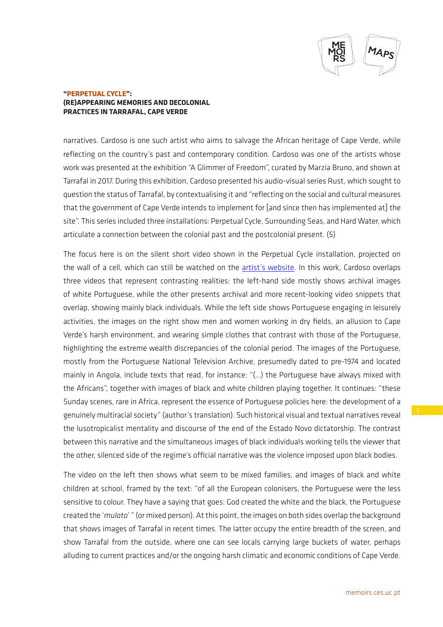

narratives. Cardoso is one such artist who aims to salvage the African heritage of Cape Verde, while reflecting on the country's past and contemporary condition. Cardoso was one of the artists whose work was presented at the exhibition "A Glimmer of Freedom", curated by Marzia Bruno, and shown at Tarrafal in 2017. During this exhibition, Cardoso presented his audio-visual series Rust, which sought to question the status of Tarrafal, by contextualising it and "reflecting on the social and cultural measures that the government of Cape Verde intends to implement for [and since then has implemented at] the site". This series included three installations: Perpetual Cycle, Surrounding Seas, and Hard Water, which articulate a connection between the colonial past and the postcolonial present. (5)

The focus here is on the silent short video shown in the Perpetual Cycle installation, projected on the wall of a cell, which can still be watched on the [artist's website](https://cesar.storianalugar.net/#/work/12). In this work, Cardoso overlaps three videos that represent contrasting realities: the left-hand side mostly shows archival images of white Portuguese, while the other presents archival and more recent-looking video snippets that overlap, showing mainly black individuals. While the left side shows Portuguese engaging in leisurely activities, the images on the right show men and women working in dry fields, an allusion to Cape Verde's harsh environment, and wearing simple clothes that contrast with those of the Portuguese, highlighting the extreme wealth discrepancies of the colonial period. The images of the Portuguese, mostly from the Portuguese National Television Archive, presumedly dated to pre-1974 and located mainly in Angola, include texts that read, for instance: "(…) the Portuguese have always mixed with the Africans", together with images of black and white children playing together. It continues: "these Sunday scenes, rare in Africa, represent the essence of Portuguese policies here: the development of a genuinely multiracial society" (author's translation). Such historical visual and textual narratives reveal the lusotropicalist mentality and discourse of the end of the Estado Novo dictatorship. The contrast between this narrative and the simultaneous images of black individuals working tells the viewer that the other, silenced side of the regime's official narrative was the violence imposed upon black bodies.

The video on the left then shows what seem to be mixed families, and images of black and white children at school, framed by the text: "of all the European colonisers, the Portuguese were the less sensitive to colour. They have a saying that goes: God created the white and the black, the Portuguese created the '*mulato*' " (or mixed person). At this point, the images on both sides overlap the background that shows images of Tarrafal in recent times. The latter occupy the entire breadth of the screen, and show Tarrafal from the outside, where one can see locals carrying large buckets of water, perhaps alluding to current practices and/or the ongoing harsh climatic and economic conditions of Cape Verde.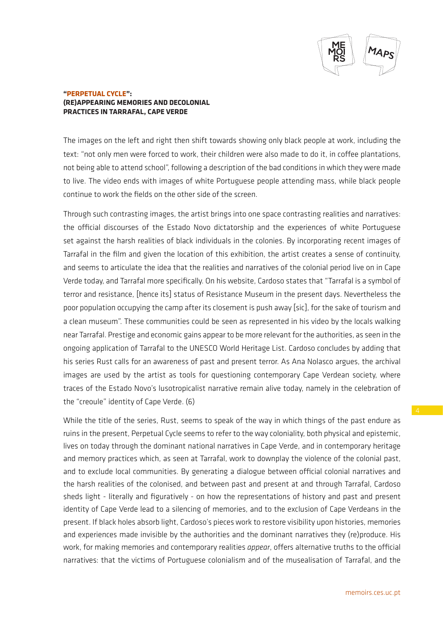

The images on the left and right then shift towards showing only black people at work, including the text: "not only men were forced to work, their children were also made to do it, in coffee plantations, not being able to attend school", following a description of the bad conditions in which they were made to live. The video ends with images of white Portuguese people attending mass, while black people continue to work the fields on the other side of the screen.

Through such contrasting images, the artist brings into one space contrasting realities and narratives: the official discourses of the Estado Novo dictatorship and the experiences of white Portuguese set against the harsh realities of black individuals in the colonies. By incorporating recent images of Tarrafal in the film and given the location of this exhibition, the artist creates a sense of continuity, and seems to articulate the idea that the realities and narratives of the colonial period live on in Cape Verde today, and Tarrafal more specifically. On his website, Cardoso states that "Tarrafal is a symbol of terror and resistance, [hence its] status of Resistance Museum in the present days. Nevertheless the poor population occupying the camp after its closement is push away [sic], for the sake of tourism and a clean museum". These communities could be seen as represented in his video by the locals walking near Tarrafal. Prestige and economic gains appear to be more relevant for the authorities, as seen in the ongoing application of Tarrafal to the UNESCO World Heritage List. Cardoso concludes by adding that his series Rust calls for an awareness of past and present terror. As Ana Nolasco argues, the archival images are used by the artist as tools for questioning contemporary Cape Verdean society, where traces of the Estado Novo's lusotropicalist narrative remain alive today, namely in the celebration of the "creoule" identity of Cape Verde. (6)

While the title of the series, Rust, seems to speak of the way in which things of the past endure as ruins in the present, Perpetual Cycle seems to refer to the way coloniality, both physical and epistemic, lives on today through the dominant national narratives in Cape Verde, and in contemporary heritage and memory practices which, as seen at Tarrafal, work to downplay the violence of the colonial past, and to exclude local communities. By generating a dialogue between official colonial narratives and the harsh realities of the colonised, and between past and present at and through Tarrafal, Cardoso sheds light - literally and figuratively - on how the representations of history and past and present identity of Cape Verde lead to a silencing of memories, and to the exclusion of Cape Verdeans in the present. If black holes absorb light, Cardoso's pieces work to restore visibility upon histories, memories and experiences made invisible by the authorities and the dominant narratives they (re)produce. His work, for making memories and contemporary realities *appear*, offers alternative truths to the official narratives: that the victims of Portuguese colonialism and of the musealisation of Tarrafal, and the